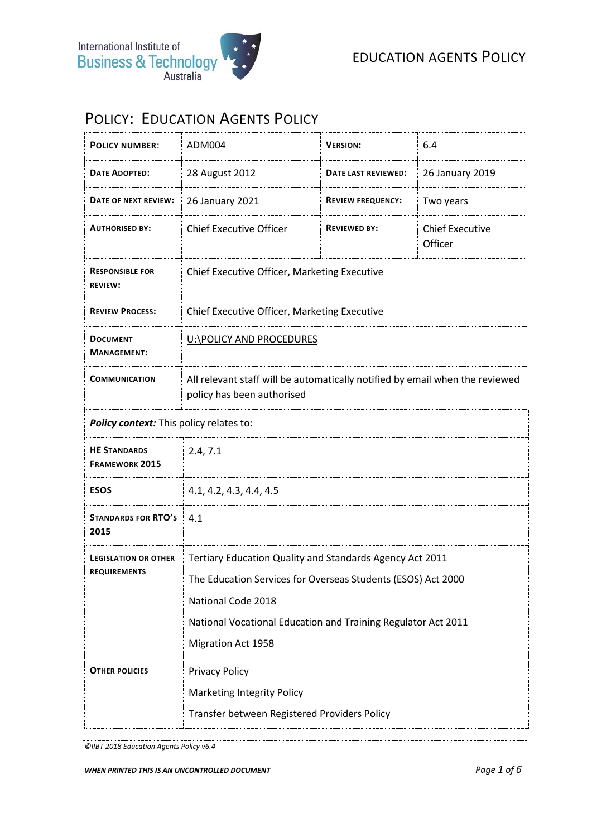## POLICY: EDUCATION AGENTS POLICY

| <b>POLICY NUMBER:</b>                              | ADM004                                                                                                     | <b>VERSION:</b>          | 6.4                               |
|----------------------------------------------------|------------------------------------------------------------------------------------------------------------|--------------------------|-----------------------------------|
| <b>DATE ADOPTED:</b>                               | 28 August 2012                                                                                             | DATE LAST REVIEWED:      | 26 January 2019                   |
| DATE OF NEXT REVIEW:                               | 26 January 2021                                                                                            | <b>REVIEW FREQUENCY:</b> | Two years                         |
| <b>AUTHORISED BY:</b>                              | <b>Chief Executive Officer</b>                                                                             | <b>REVIEWED BY:</b>      | <b>Chief Executive</b><br>Officer |
| <b>RESPONSIBLE FOR</b><br><b>REVIEW:</b>           | Chief Executive Officer, Marketing Executive                                                               |                          |                                   |
| <b>REVIEW PROCESS:</b>                             | Chief Executive Officer, Marketing Executive                                                               |                          |                                   |
| <b>DOCUMENT</b><br><b>MANAGEMENT:</b>              | U:\POLICY AND PROCEDURES                                                                                   |                          |                                   |
| <b>COMMUNICATION</b>                               | All relevant staff will be automatically notified by email when the reviewed<br>policy has been authorised |                          |                                   |
| Policy context: This policy relates to:            |                                                                                                            |                          |                                   |
| <b>HE STANDARDS</b><br><b>FRAMEWORK 2015</b>       | 2.4, 7.1                                                                                                   |                          |                                   |
| <b>ESOS</b>                                        | 4.1, 4.2, 4.3, 4.4, 4.5                                                                                    |                          |                                   |
| <b>STANDARDS FOR RTO'S</b><br>2015                 | 4.1                                                                                                        |                          |                                   |
| <b>LEGISLATION OR OTHER</b><br><b>REQUIREMENTS</b> | Tertiary Education Quality and Standards Agency Act 2011                                                   |                          |                                   |
|                                                    | The Education Services for Overseas Students (ESOS) Act 2000                                               |                          |                                   |
|                                                    | National Code 2018                                                                                         |                          |                                   |
|                                                    | National Vocational Education and Training Regulator Act 2011<br>Migration Act 1958                        |                          |                                   |
| <b>OTHER POLICIES</b>                              | <b>Privacy Policy</b>                                                                                      |                          |                                   |
|                                                    | <b>Marketing Integrity Policy</b>                                                                          |                          |                                   |
|                                                    | Transfer between Registered Providers Policy                                                               |                          |                                   |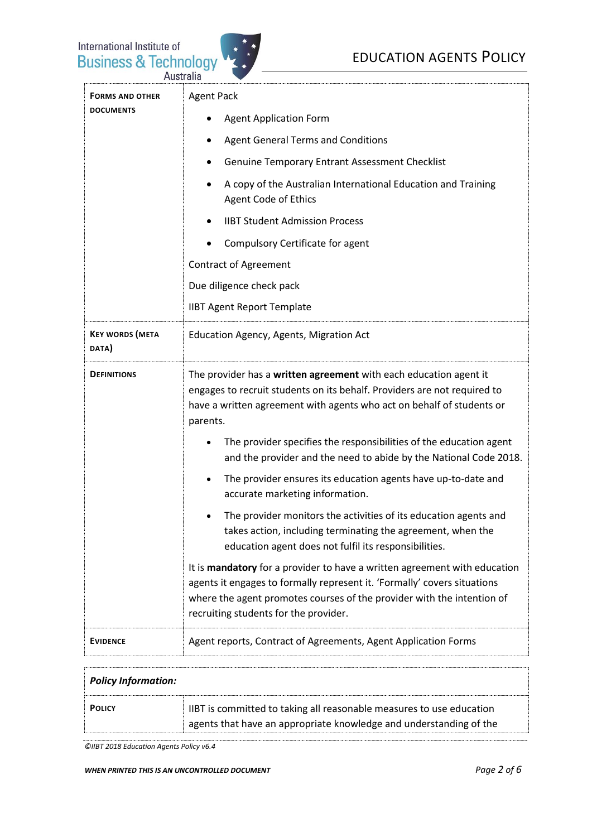

| <b>FORMS AND OTHER</b><br><b>DOCUMENTS</b> | <b>Agent Pack</b>                                                                                                                                                                                                                                                                                                                                                             |
|--------------------------------------------|-------------------------------------------------------------------------------------------------------------------------------------------------------------------------------------------------------------------------------------------------------------------------------------------------------------------------------------------------------------------------------|
|                                            | <b>Agent Application Form</b>                                                                                                                                                                                                                                                                                                                                                 |
|                                            | <b>Agent General Terms and Conditions</b>                                                                                                                                                                                                                                                                                                                                     |
|                                            | <b>Genuine Temporary Entrant Assessment Checklist</b>                                                                                                                                                                                                                                                                                                                         |
|                                            | A copy of the Australian International Education and Training<br>٠<br><b>Agent Code of Ethics</b>                                                                                                                                                                                                                                                                             |
|                                            | <b>IIBT Student Admission Process</b>                                                                                                                                                                                                                                                                                                                                         |
|                                            | Compulsory Certificate for agent                                                                                                                                                                                                                                                                                                                                              |
|                                            | <b>Contract of Agreement</b>                                                                                                                                                                                                                                                                                                                                                  |
|                                            | Due diligence check pack                                                                                                                                                                                                                                                                                                                                                      |
|                                            | <b>IIBT Agent Report Template</b>                                                                                                                                                                                                                                                                                                                                             |
| <b>KEY WORDS (META</b><br>DATA)            | Education Agency, Agents, Migration Act                                                                                                                                                                                                                                                                                                                                       |
| <b>DEFINITIONS</b>                         | The provider has a written agreement with each education agent it<br>engages to recruit students on its behalf. Providers are not required to<br>have a written agreement with agents who act on behalf of students or<br>parents.<br>The provider specifies the responsibilities of the education agent<br>and the provider and the need to abide by the National Code 2018. |
|                                            | The provider ensures its education agents have up-to-date and<br>accurate marketing information.                                                                                                                                                                                                                                                                              |
|                                            | The provider monitors the activities of its education agents and<br>takes action, including terminating the agreement, when the<br>education agent does not fulfil its responsibilities.                                                                                                                                                                                      |
|                                            | It is mandatory for a provider to have a written agreement with education<br>agents it engages to formally represent it. 'Formally' covers situations<br>where the agent promotes courses of the provider with the intention of<br>recruiting students for the provider.                                                                                                      |
| <b>EVIDENCE</b>                            | Agent reports, Contract of Agreements, Agent Application Forms                                                                                                                                                                                                                                                                                                                |

| <b>Policy Information:</b> |                                                                                                                                            |
|----------------------------|--------------------------------------------------------------------------------------------------------------------------------------------|
| <b>POLICY</b>              | IIBT is committed to taking all reasonable measures to use education<br>agents that have an appropriate knowledge and understanding of the |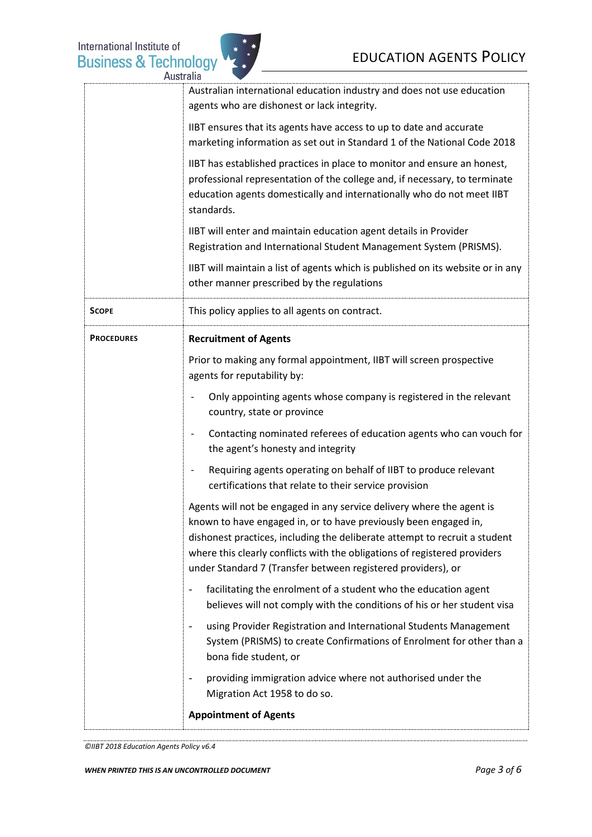

|                   | Australian international education industry and does not use education<br>agents who are dishonest or lack integrity.                                                                                                                                                                                                                                                |  |
|-------------------|----------------------------------------------------------------------------------------------------------------------------------------------------------------------------------------------------------------------------------------------------------------------------------------------------------------------------------------------------------------------|--|
|                   | IIBT ensures that its agents have access to up to date and accurate<br>marketing information as set out in Standard 1 of the National Code 2018                                                                                                                                                                                                                      |  |
|                   | IIBT has established practices in place to monitor and ensure an honest,<br>professional representation of the college and, if necessary, to terminate<br>education agents domestically and internationally who do not meet IIBT<br>standards.                                                                                                                       |  |
|                   | IIBT will enter and maintain education agent details in Provider<br>Registration and International Student Management System (PRISMS).                                                                                                                                                                                                                               |  |
|                   | IIBT will maintain a list of agents which is published on its website or in any<br>other manner prescribed by the regulations                                                                                                                                                                                                                                        |  |
| <b>SCOPE</b>      | This policy applies to all agents on contract.                                                                                                                                                                                                                                                                                                                       |  |
| <b>PROCEDURES</b> | <b>Recruitment of Agents</b>                                                                                                                                                                                                                                                                                                                                         |  |
|                   | Prior to making any formal appointment, IIBT will screen prospective<br>agents for reputability by:                                                                                                                                                                                                                                                                  |  |
|                   | Only appointing agents whose company is registered in the relevant<br>country, state or province                                                                                                                                                                                                                                                                     |  |
|                   | Contacting nominated referees of education agents who can vouch for<br>$\overline{\phantom{a}}$<br>the agent's honesty and integrity                                                                                                                                                                                                                                 |  |
|                   | Requiring agents operating on behalf of IIBT to produce relevant<br>$\overline{\phantom{a}}$<br>certifications that relate to their service provision                                                                                                                                                                                                                |  |
|                   | Agents will not be engaged in any service delivery where the agent is<br>known to have engaged in, or to have previously been engaged in,<br>dishonest practices, including the deliberate attempt to recruit a student<br>where this clearly conflicts with the obligations of registered providers<br>under Standard 7 (Transfer between registered providers), or |  |
|                   | facilitating the enrolment of a student who the education agent<br>$\overline{\phantom{0}}$<br>believes will not comply with the conditions of his or her student visa                                                                                                                                                                                               |  |
|                   | using Provider Registration and International Students Management<br>System (PRISMS) to create Confirmations of Enrolment for other than a<br>bona fide student, or                                                                                                                                                                                                  |  |
|                   | providing immigration advice where not authorised under the<br>Migration Act 1958 to do so.                                                                                                                                                                                                                                                                          |  |
|                   | <b>Appointment of Agents</b>                                                                                                                                                                                                                                                                                                                                         |  |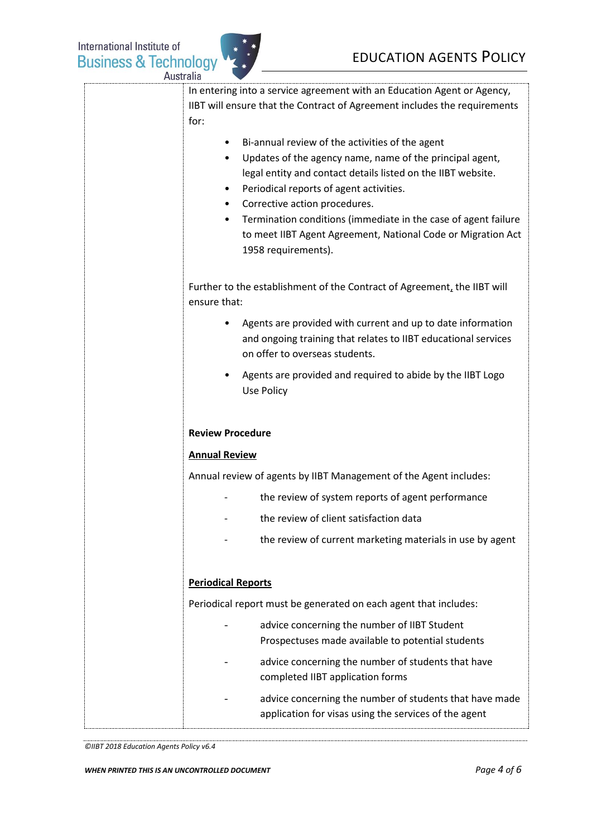$\left( \begin{array}{ccc} & & & * & * \\ & & & * & * \\ & & & * & * \end{array} \right)$ 

| Australia |                                                                                                                                                                                                                                                                                                                                                                                                                                    |
|-----------|------------------------------------------------------------------------------------------------------------------------------------------------------------------------------------------------------------------------------------------------------------------------------------------------------------------------------------------------------------------------------------------------------------------------------------|
|           | In entering into a service agreement with an Education Agent or Agency,<br>IIBT will ensure that the Contract of Agreement includes the requirements<br>for:                                                                                                                                                                                                                                                                       |
|           | Bi-annual review of the activities of the agent<br>Updates of the agency name, name of the principal agent,<br>legal entity and contact details listed on the IIBT website.<br>Periodical reports of agent activities.<br>Corrective action procedures.<br>$\bullet$<br>Termination conditions (immediate in the case of agent failure<br>٠<br>to meet IIBT Agent Agreement, National Code or Migration Act<br>1958 requirements). |
|           | Further to the establishment of the Contract of Agreement, the IIBT will<br>ensure that:                                                                                                                                                                                                                                                                                                                                           |
|           | Agents are provided with current and up to date information<br>and ongoing training that relates to IIBT educational services<br>on offer to overseas students.                                                                                                                                                                                                                                                                    |
|           | Agents are provided and required to abide by the IIBT Logo<br>٠<br>Use Policy                                                                                                                                                                                                                                                                                                                                                      |
|           | <b>Review Procedure</b>                                                                                                                                                                                                                                                                                                                                                                                                            |
|           | <b>Annual Review</b>                                                                                                                                                                                                                                                                                                                                                                                                               |
|           | Annual review of agents by IIBT Management of the Agent includes:                                                                                                                                                                                                                                                                                                                                                                  |
|           | the review of system reports of agent performance                                                                                                                                                                                                                                                                                                                                                                                  |
|           | the review of client satisfaction data                                                                                                                                                                                                                                                                                                                                                                                             |
|           | the review of current marketing materials in use by agent                                                                                                                                                                                                                                                                                                                                                                          |
|           | <b>Periodical Reports</b>                                                                                                                                                                                                                                                                                                                                                                                                          |
|           | Periodical report must be generated on each agent that includes:                                                                                                                                                                                                                                                                                                                                                                   |
|           | advice concerning the number of IIBT Student<br>Prospectuses made available to potential students                                                                                                                                                                                                                                                                                                                                  |
|           | advice concerning the number of students that have<br>completed IIBT application forms                                                                                                                                                                                                                                                                                                                                             |
|           | advice concerning the number of students that have made                                                                                                                                                                                                                                                                                                                                                                            |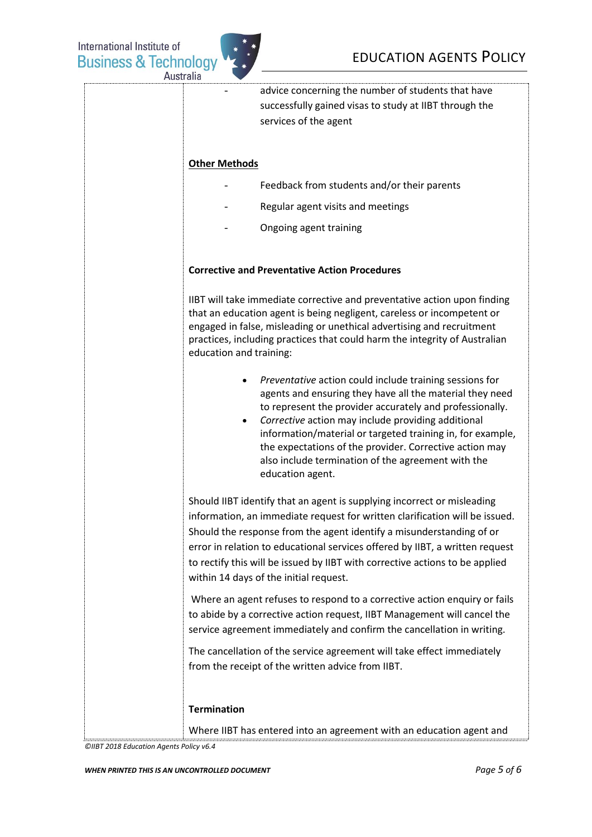

| advice concerning the number of students that have<br>successfully gained visas to study at IIBT through the<br>services of the agent                                                                                                                                                                                                                                                                                                    |
|------------------------------------------------------------------------------------------------------------------------------------------------------------------------------------------------------------------------------------------------------------------------------------------------------------------------------------------------------------------------------------------------------------------------------------------|
| <b>Other Methods</b>                                                                                                                                                                                                                                                                                                                                                                                                                     |
| Feedback from students and/or their parents                                                                                                                                                                                                                                                                                                                                                                                              |
| Regular agent visits and meetings                                                                                                                                                                                                                                                                                                                                                                                                        |
| Ongoing agent training                                                                                                                                                                                                                                                                                                                                                                                                                   |
| <b>Corrective and Preventative Action Procedures</b>                                                                                                                                                                                                                                                                                                                                                                                     |
| IIBT will take immediate corrective and preventative action upon finding<br>that an education agent is being negligent, careless or incompetent or<br>engaged in false, misleading or unethical advertising and recruitment<br>practices, including practices that could harm the integrity of Australian<br>education and training:                                                                                                     |
| Preventative action could include training sessions for<br>agents and ensuring they have all the material they need<br>to represent the provider accurately and professionally.<br>Corrective action may include providing additional<br>information/material or targeted training in, for example,<br>the expectations of the provider. Corrective action may<br>also include termination of the agreement with the<br>education agent. |
| Should IIBT identify that an agent is supplying incorrect or misleading<br>information, an immediate request for written clarification will be issued.<br>Should the response from the agent identify a misunderstanding of or<br>error in relation to educational services offered by IIBT, a written request<br>to rectify this will be issued by IIBT with corrective actions to be applied<br>within 14 days of the initial request. |
| Where an agent refuses to respond to a corrective action enquiry or fails<br>to abide by a corrective action request, IIBT Management will cancel the<br>service agreement immediately and confirm the cancellation in writing.                                                                                                                                                                                                          |
| The cancellation of the service agreement will take effect immediately<br>from the receipt of the written advice from IIBT.                                                                                                                                                                                                                                                                                                              |
| <b>Termination</b>                                                                                                                                                                                                                                                                                                                                                                                                                       |
| Where IIBT has entered into an agreement with an education agent and                                                                                                                                                                                                                                                                                                                                                                     |
|                                                                                                                                                                                                                                                                                                                                                                                                                                          |